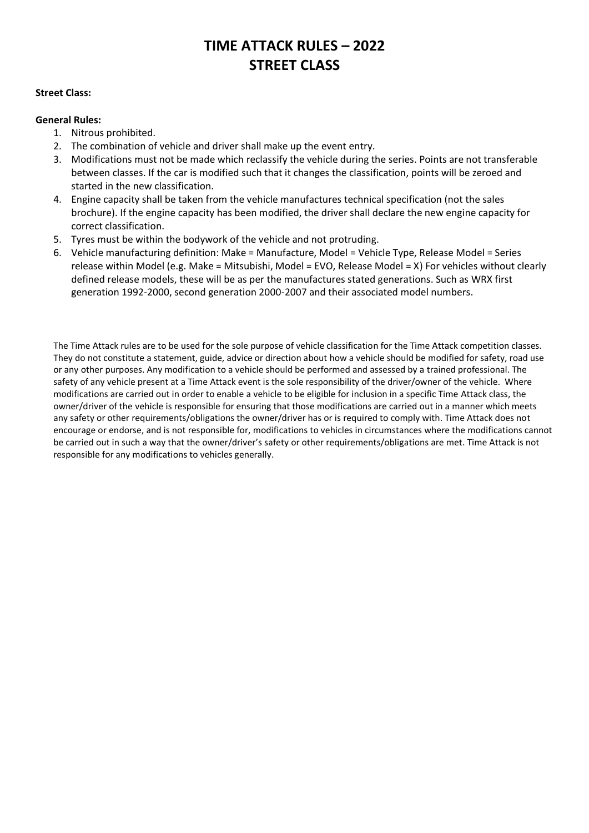# **TIME ATTACK RULES – 2022 STREET CLASS**

#### **Street Class:**

#### **General Rules:**

- 1. Nitrous prohibited.
- 2. The combination of vehicle and driver shall make up the event entry.
- 3. Modifications must not be made which reclassify the vehicle during the series. Points are not transferable between classes. If the car is modified such that it changes the classification, points will be zeroed and started in the new classification.
- 4. Engine capacity shall be taken from the vehicle manufactures technical specification (not the sales brochure). If the engine capacity has been modified, the driver shall declare the new engine capacity for correct classification.
- 5. Tyres must be within the bodywork of the vehicle and not protruding.
- 6. Vehicle manufacturing definition: Make = Manufacture, Model = Vehicle Type, Release Model = Series release within Model (e.g. Make = Mitsubishi, Model = EVO, Release Model = X) For vehicles without clearly defined release models, these will be as per the manufactures stated generations. Such as WRX first generation 1992-2000, second generation 2000-2007 and their associated model numbers.

The Time Attack rules are to be used for the sole purpose of vehicle classification for the Time Attack competition classes. They do not constitute a statement, guide, advice or direction about how a vehicle should be modified for safety, road use or any other purposes. Any modification to a vehicle should be performed and assessed by a trained professional. The safety of any vehicle present at a Time Attack event is the sole responsibility of the driver/owner of the vehicle. Where modifications are carried out in order to enable a vehicle to be eligible for inclusion in a specific Time Attack class, the owner/driver of the vehicle is responsible for ensuring that those modifications are carried out in a manner which meets any safety or other requirements/obligations the owner/driver has or is required to comply with. Time Attack does not encourage or endorse, and is not responsible for, modifications to vehicles in circumstances where the modifications cannot be carried out in such a way that the owner/driver's safety or other requirements/obligations are met. Time Attack is not responsible for any modifications to vehicles generally.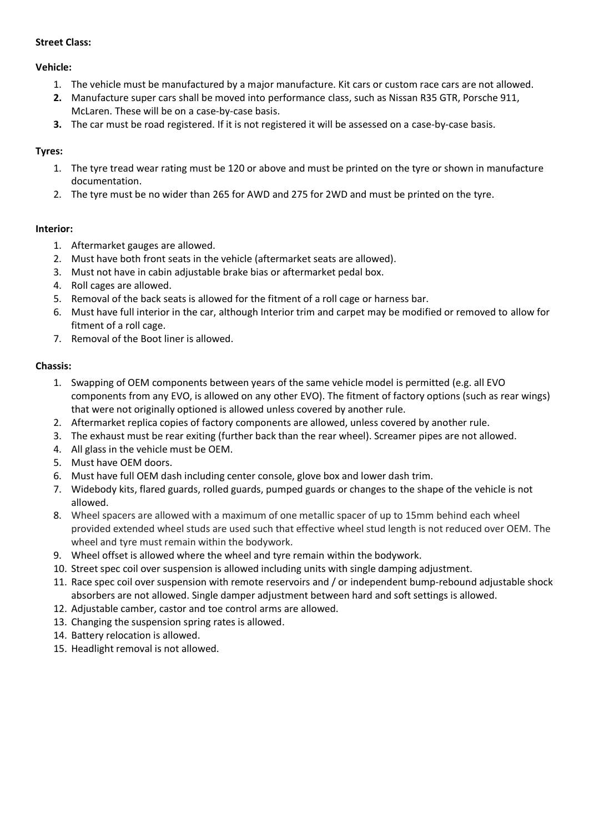## **Street Class:**

## **Vehicle:**

- 1. The vehicle must be manufactured by a major manufacture. Kit cars or custom race cars are not allowed.
- **2.** Manufacture super cars shall be moved into performance class, such as Nissan R35 GTR, Porsche 911, McLaren. These will be on a case-by-case basis.
- **3.** The car must be road registered. If it is not registered it will be assessed on a case-by-case basis.

# **Tyres:**

- 1. The tyre tread wear rating must be 120 or above and must be printed on the tyre or shown in manufacture documentation.
- 2. The tyre must be no wider than 265 for AWD and 275 for 2WD and must be printed on the tyre.

# **Interior:**

- 1. Aftermarket gauges are allowed.
- 2. Must have both front seats in the vehicle (aftermarket seats are allowed).
- 3. Must not have in cabin adjustable brake bias or aftermarket pedal box.
- 4. Roll cages are allowed.
- 5. Removal of the back seats is allowed for the fitment of a roll cage or harness bar.
- 6. Must have full interior in the car, although Interior trim and carpet may be modified or removed to allow for fitment of a roll cage.
- 7. Removal of the Boot liner is allowed.

## **Chassis:**

- 1. Swapping of OEM components between years of the same vehicle model is permitted (e.g. all EVO components from any EVO, is allowed on any other EVO). The fitment of factory options (such as rear wings) that were not originally optioned is allowed unless covered by another rule.
- 2. Aftermarket replica copies of factory components are allowed, unless covered by another rule.
- 3. The exhaust must be rear exiting (further back than the rear wheel). Screamer pipes are not allowed.
- 4. All glass in the vehicle must be OEM.
- 5. Must have OEM doors.
- 6. Must have full OEM dash including center console, glove box and lower dash trim.
- 7. Widebody kits, flared guards, rolled guards, pumped guards or changes to the shape of the vehicle is not allowed.
- 8. Wheel spacers are allowed with a maximum of one metallic spacer of up to 15mm behind each wheel provided extended wheel studs are used such that effective wheel stud length is not reduced over OEM. The wheel and tyre must remain within the bodywork.
- 9. Wheel offset is allowed where the wheel and tyre remain within the bodywork.
- 10. Street spec coil over suspension is allowed including units with single damping adjustment.
- 11. Race spec coil over suspension with remote reservoirs and / or independent bump-rebound adjustable shock absorbers are not allowed. Single damper adjustment between hard and soft settings is allowed.
- 12. Adjustable camber, castor and toe control arms are allowed.
- 13. Changing the suspension spring rates is allowed.
- 14. Battery relocation is allowed.
- 15. Headlight removal is not allowed.